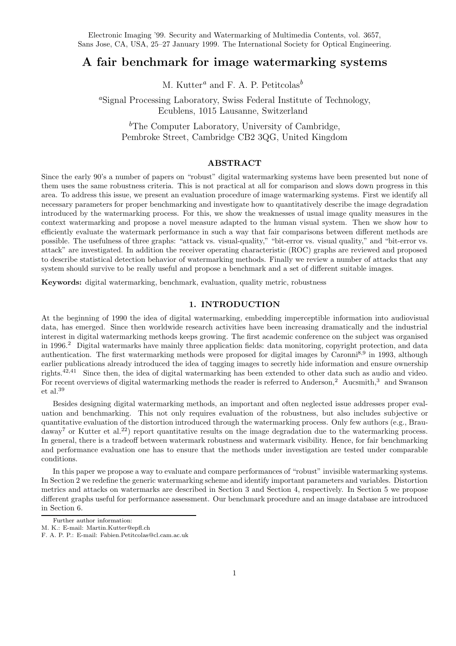Electronic Imaging '99. Security and Watermarking of Multimedia Contents, vol. 3657, Sans Jose, CA, USA, 25–27 January 1999. The International Society for Optical Engineering.

# **A fair benchmark for image watermarking systems**

M. Kutter<sup>a</sup> and F. A. P. Petitcolas<sup>b</sup>

<sup>a</sup>Signal Processing Laboratory, Swiss Federal Institute of Technology, Ecublens, 1015 Lausanne, Switzerland

 ${}^b$ The Computer Laboratory, University of Cambridge, Pembroke Street, Cambridge CB2 3QG, United Kingdom

# **ABSTRACT**

Since the early 90's a number of papers on "robust" digital watermarking systems have been presented but none of them uses the same robustness criteria. This is not practical at all for comparison and slows down progress in this area. To address this issue, we present an evaluation procedure of image watermarking systems. First we identify all necessary parameters for proper benchmarking and investigate how to quantitatively describe the image degradation introduced by the watermarking process. For this, we show the weaknesses of usual image quality measures in the context watermarking and propose a novel measure adapted to the human visual system. Then we show how to efficiently evaluate the watermark performance in such a way that fair comparisons between different methods are possible. The usefulness of three graphs: "attack vs. visual-quality," "bit-error vs. visual quality," and "bit-error vs. attack" are investigated. In addition the receiver operating characteristic (ROC) graphs are reviewed and proposed to describe statistical detection behavior of watermarking methods. Finally we review a number of attacks that any system should survive to be really useful and propose a benchmark and a set of different suitable images.

**Keywords:** digital watermarking, benchmark, evaluation, quality metric, robustness

#### **1. INTRODUCTION**

At the beginning of 1990 the idea of digital watermarking, embedding imperceptible information into audiovisual data, has emerged. Since then worldwide research activities have been increasing dramatically and the industrial interest in digital watermarking methods keeps growing. The first academic conference on the subject was organised in 1996.<sup>2</sup> Digital watermarks have mainly three application fields: data monitoring, copyright protection, and data authentication. The first watermarking methods were proposed for digital images by Caronni<sup>8,9</sup> in 1993, although earlier publications already introduced the idea of tagging images to secretly hide information and ensure ownership rights. $42,41$  Since then, the idea of digital watermarking has been extended to other data such as audio and video. For recent overviews of digital watermarking methods the reader is referred to Anderson,<sup>2</sup> Aucsmith,<sup>3</sup> and Swanson et al.<sup>39</sup>

Besides designing digital watermarking methods, an important and often neglected issue addresses proper evaluation and benchmarking. This not only requires evaluation of the robustness, but also includes subjective or quantitative evaluation of the distortion introduced through the watermarking process. Only few authors (e.g., Braudaway<sup>7</sup> or Kutter et al.<sup>22</sup>) report quantitative results on the image degradation due to the watermarking process. In general, there is a tradeoff between watermark robustness and watermark visibility. Hence, for fair benchmarking and performance evaluation one has to ensure that the methods under investigation are tested under comparable conditions.

In this paper we propose a way to evaluate and compare performances of "robust" invisible watermarking systems. In Section 2 we redefine the generic watermarking scheme and identify important parameters and variables. Distortion metrics and attacks on watermarks are described in Section 3 and Section 4, respectively. In Section 5 we propose different graphs useful for performance assessment. Our benchmark procedure and an image database are introduced in Section 6.

M. K.: E-mail: Martin.Kutter@epfl.ch

Further author information:

F. A. P. P.: E-mail: Fabien.Petitcolas@cl.cam.ac.uk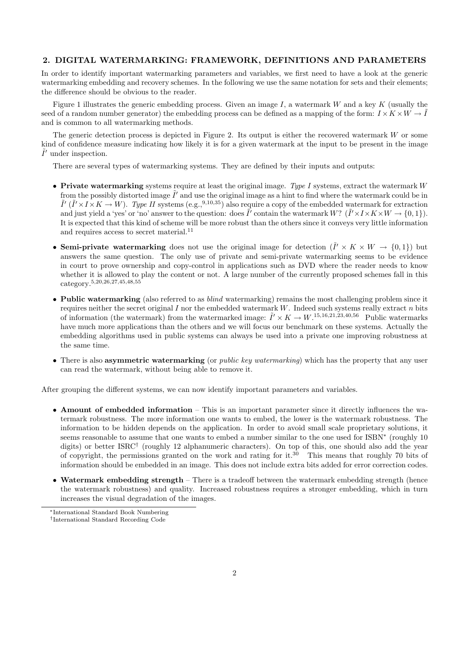# **2. DIGITAL WATERMARKING: FRAMEWORK, DEFINITIONS AND PARAMETERS**

In order to identify important watermarking parameters and variables, we first need to have a look at the generic watermarking embedding and recovery schemes. In the following we use the same notation for sets and their elements; the difference should be obvious to the reader.

Figure 1 illustrates the generic embedding process. Given an image  $I$ , a watermark W and a key K (usually the seed of a random number generator) the embedding process can be defined as a mapping of the form:  $I \times K \times W \to I$ and is common to all watermarking methods.

The generic detection process is depicted in Figure 2. Its output is either the recovered watermark  $W$  or some kind of confidence measure indicating how likely it is for a given watermark at the input to be present in the image  $\tilde{I}'$  under inspection.

There are several types of watermarking systems. They are defined by their inputs and outputs:

- **Private watermarking** systems require at least the original image. *Type I* systems, extract the watermark W from the possibly distorted image  $I'$  and use the original image as a hint to find where the watermark could be in  $\tilde{I}'(\tilde{I}' \times I \times K \to W)$ . Type II systems (e.g.,<sup>9,10,35</sup>) also require a copy of the embedded watermark and just yield a 'yes' or 'no' answer to the question: does  $\tilde{I}'$  contain the watermark  $W$ ?  $(\tilde{I}' \times I \times K \times W \rightarrow \{0,1\})$ . It is expected that this kind of scheme will be more robust than the others since it conveys very little information and requires access to secret material.<sup>11</sup>
- **Semi-private watermarking** does not use the original image for detection  $(\tilde{I}' \times K \times W \rightarrow \{0, 1\})$  but answers the same question. The only use of private and semi-private watermarking seems to be evidence in court to prove ownership and copy-control in applications such as DVD where the reader needs to know whether it is allowed to play the content or not. A large number of the currently proposed schemes fall in this category.5,20,26,27,45,48,55
- **Public watermarking** (also referred to as *blind* watermarking) remains the most challenging problem since it requires neither the secret original I nor the embedded watermark  $W$ . Indeed such systems really extract n bits of information (the watermark) from the watermarked image:  $\tilde{I}' \times K \to W$ .<sup>15,16,21,23,40,56</sup> Public watermarks have much more applications than the others and we will focus our benchmark on these systems. Actually the embedding algorithms used in public systems can always be used into a private one improving robustness at the same time.
- There is also **asymmetric watermarking** (or *public key watermarking*) which has the property that any user can read the watermark, without being able to remove it.

After grouping the different systems, we can now identify important parameters and variables.

- **Amount of embedded information** This is an important parameter since it directly influences the watermark robustness. The more information one wants to embed, the lower is the watermark robustness. The information to be hidden depends on the application. In order to avoid small scale proprietary solutions, it seems reasonable to assume that one wants to embed a number similar to the one used for ISBN<sup>∗</sup> (roughly 10 digits) or better ISRC<sup>†</sup> (roughly 12 alphanumeric characters). On top of this, one should also add the year of copyright, the permissions granted on the work and rating for it.<sup>30</sup> This means that roughly 70 bits of information should be embedded in an image. This does not include extra bits added for error correction codes.
- **Watermark embedding strength** There is a tradeoff between the watermark embedding strength (hence the watermark robustness) and quality. Increased robustness requires a stronger embedding, which in turn increases the visual degradation of the images.

<sup>∗</sup>International Standard Book Numbering

<sup>†</sup>International Standard Recording Code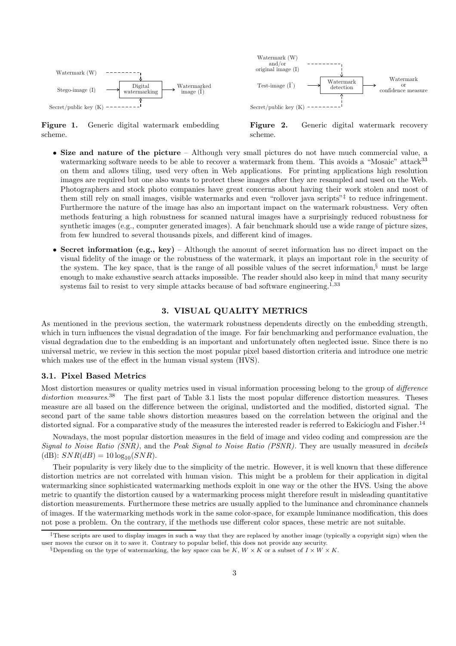



**Figure 1.** Generic digital watermark embedding scheme.



- **Size and nature of the picture** Although very small pictures do not have much commercial value, a watermarking software needs to be able to recover a watermark from them. This avoids a "Mosaic" attack<sup>33</sup> on them and allows tiling, used very often in Web applications. For printing applications high resolution images are required but one also wants to protect these images after they are resampled and used on the Web. Photographers and stock photo companies have great concerns about having their work stolen and most of them still rely on small images, visible watermarks and even "rollover java scripts"‡ to reduce infringement. Furthermore the nature of the image has also an important impact on the watermark robustness. Very often methods featuring a high robustness for scanned natural images have a surprisingly reduced robustness for synthetic images (e.g., computer generated images). A fair benchmark should use a wide range of picture sizes, from few hundred to several thousands pixels, and different kind of images.
- **Secret information (e.g., key)** Although the amount of secret information has no direct impact on the visual fidelity of the image or the robustness of the watermark, it plays an important role in the security of the system. The key space, that is the range of all possible values of the secret information,§ must be large enough to make exhaustive search attacks impossible. The reader should also keep in mind that many security systems fail to resist to very simple attacks because of bad software engineering.<sup>1,33</sup>

# **3. VISUAL QUALITY METRICS**

As mentioned in the previous section, the watermark robustness dependents directly on the embedding strength, which in turn influences the visual degradation of the image. For fair benchmarking and performance evaluation, the visual degradation due to the embedding is an important and unfortunately often neglected issue. Since there is no universal metric, we review in this section the most popular pixel based distortion criteria and introduce one metric which makes use of the effect in the human visual system (HVS).

#### **3.1. Pixel Based Metrics**

Most distortion measures or quality metrics used in visual information processing belong to the group of *difference* distortion measures.<sup>38</sup> The first part of Table 3.1 lists the most popular difference distortion measures. Theses measure are all based on the difference between the original, undistorted and the modified, distorted signal. The second part of the same table shows distortion measures based on the correlation between the original and the distorted signal. For a comparative study of the measures the interested reader is referred to Eskicioglu and Fisher.<sup>14</sup>

Nowadays, the most popular distortion measures in the field of image and video coding and compression are the *Signal to Noise Ratio (SNR)*, and the *Peak Signal to Noise Ratio (PSNR)*. They are usually measured in *decibels* (dB):  $SNR(dB) = 10 \log_{10}(SNR)$ .

Their popularity is very likely due to the simplicity of the metric. However, it is well known that these difference distortion metrics are not correlated with human vision. This might be a problem for their application in digital watermarking since sophisticated watermarking methods exploit in one way or the other the HVS. Using the above metric to quantify the distortion caused by a watermarking process might therefore result in misleading quantitative distortion measurements. Furthermore these metrics are usually applied to the luminance and chrominance channels of images. If the watermarking methods work in the same color-space, for example luminance modification, this does not pose a problem. On the contrary, if the methods use different color spaces, these metric are not suitable.

<sup>‡</sup>These scripts are used to display images in such a way that they are replaced by another image (typically a copyright sign) when the user moves the cursor on it to save it. Contrary to popular belief, this does not provide any security.

<sup>&</sup>lt;sup>§</sup>Depending on the type of watermarking, the key space can be K,  $W \times K$  or a subset of  $I \times W \times K$ .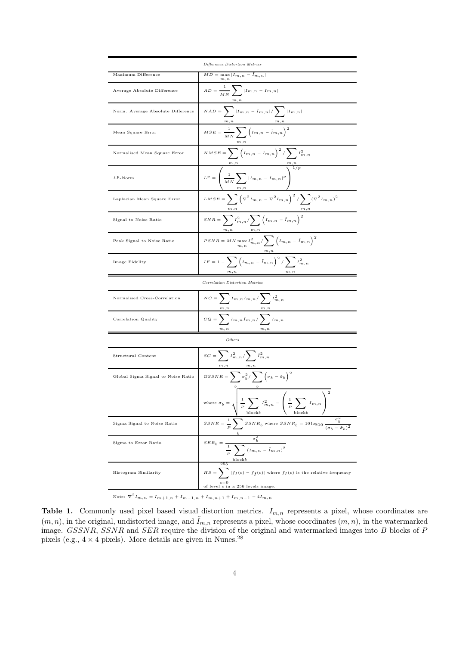| Difference Distortion Metrics      |                                                                                                                                                                        |  |  |  |  |  |
|------------------------------------|------------------------------------------------------------------------------------------------------------------------------------------------------------------------|--|--|--|--|--|
| Maximum Difference                 | $\label{eq:MD} M\,\overline{D\,}=\,\max\,\left \,I_{\,m\,,\,n}\,-\,\tilde{I}_{\,m\,,\,n}\,\right $                                                                     |  |  |  |  |  |
| Average Absolute Difference        | $AD = \frac{1}{MN} \sum  I_{m,n} - \tilde{I}_{m,n} $                                                                                                                   |  |  |  |  |  |
| Norm. Average Absolute Difference  | $\small NAD = \sum  I_{m,n}-\tilde{I}_{m,n} /\sum  I_{m,n} $                                                                                                           |  |  |  |  |  |
| Mean Square Error                  | $MSE = \frac{1}{MN}\sum \bigg(I_{m,n} - \bar{I}_{m,n}\bigg)^2$                                                                                                         |  |  |  |  |  |
| Normalised Mean Square Error       | $NMSE = \sum \left(I_{m,n} - \bar{I}_{m,n}\right)^2 / \sum I_{m,n}^2$                                                                                                  |  |  |  |  |  |
| $L^p$ -Norm                        | $L^p = \left( \frac{1}{MN} \sum_{m,n}  I_{m,n} - \bar{I}_{m,n} ^p \right)^{-1}$                                                                                        |  |  |  |  |  |
| Laplacian Mean Square Error        | $\small LMSE = \sum \Big( \nabla^2 I_{m,n} - \nabla^2 \bar{I}_{m,n} \Big)^2 / \sum (\nabla^2 I_{m,n})^2$                                                               |  |  |  |  |  |
| Signal to Noise Ratio              | $\label{eq:snr} \operatorname{SNR} = \sum I_{m,n}^2 / \sum \Big( I_{m,n} - \tilde{I}_{m,n} \Big)^2$                                                                    |  |  |  |  |  |
| Peak Signal to Noise Ratio         | $\label{eq:PSNR} PSNR = MN \max_{m,n} I_{m,n}^2 / \sum \Big( I_{m,n} - \bar{I}_{m,n} \Big)^2$                                                                          |  |  |  |  |  |
| Image Fidelity                     | $\label{eq:IF} IF = 1 - \sum \Big( I_{m,n} - \bar{I}_{m,n} \Big)^2 \, / \sum I_{m,n}^2$                                                                                |  |  |  |  |  |
| Correlation Distortion Metrics     |                                                                                                                                                                        |  |  |  |  |  |
|                                    |                                                                                                                                                                        |  |  |  |  |  |
| Normalised Cross-Correlation       | $NC = \sum I_{m,n} \overline{I}_{m,n}/\sum I_{m,n}^2$                                                                                                                  |  |  |  |  |  |
| Correlation Quality                | $\label{eq:cap} \begin{aligned} \boldsymbol{C}\boldsymbol{Q} = \sum \boldsymbol{I}_{m,n}\boldsymbol{\tilde{I}}_{m,n} / \sum \boldsymbol{I}_{m,n} \end{aligned}$        |  |  |  |  |  |
|                                    | Others                                                                                                                                                                 |  |  |  |  |  |
| Structural Content                 | $SC = \sum I_{m,n}^2 / \sum \tilde{I}_{m,n}^2$                                                                                                                         |  |  |  |  |  |
| Global Sigma Signal to Noise Ratio | $GSSNR = \sum \sigma_b^2 / \sum \left( \sigma_b - \tilde{\sigma}_b \right)^2$                                                                                          |  |  |  |  |  |
|                                    | $\overline{2}$<br>blockb                                                                                                                                               |  |  |  |  |  |
| Sigma Signal to Noise Ratio        | $\frac{1}{P}\sum_{\text{block}}I_{m,n}^{2}-\left(\frac{1}{P}\right)_{\text{t}}$<br>$\sum$ SSNR <sub>b</sub> where SSNR <sub>b</sub> = 10 log <sub>10</sub><br>$SSNR =$ |  |  |  |  |  |
| Sigma to Error Ratio               | $\frac{\sigma_b^2}{\sum_{j} (I_{m,n} - \bar{I}_{m,n})^2}$<br>$\label{eq:se} SER_b\,=\,$                                                                                |  |  |  |  |  |
| Histogram Similarity               | $HS = \sum  f_I(c) - f_{\tilde I}(c)  \text{ where } f_I(c) \text{ is the relative frequency}$                                                                         |  |  |  |  |  |

Note:  $\nabla^2 I_{m,n} = I_{m+1,n} + I_{m-1,n} + I_{m,n+1} + I_{m,n-1} - 4 I_{m,n}$ 

**Table 1.** Commonly used pixel based visual distortion metrics.  $I_{m,n}$  represents a pixel, whose coordinates are  $(m, n)$ , in the original, undistorted image, and  $\tilde{I}_{m,n}$  represents a pixel, whose coordinates  $(m, n)$ , in the watermarked image. GSSNR, SSNR and SER require the division of the original and watermarked images into B blocks of P pixels (e.g.,  $4 \times 4$  pixels). More details are given in Nunes.<sup>28</sup>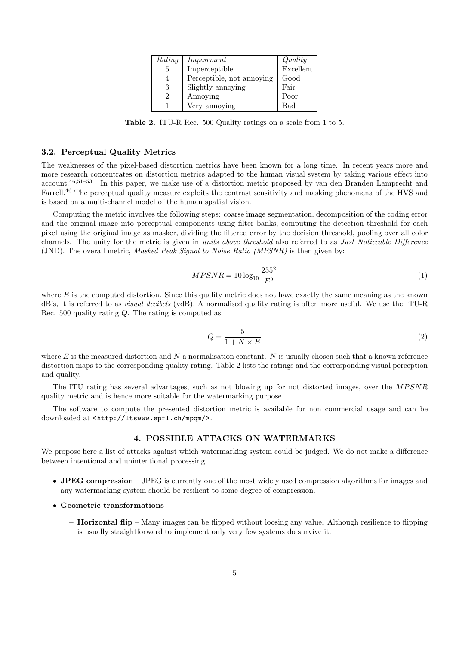| Rating | Impairment                | Quality   |
|--------|---------------------------|-----------|
| 5      | Imperceptible             | Excellent |
| 4      | Perceptible, not annoying | Good      |
| 3      | Slightly annoying         | Fair      |
| 2      | Annoying                  | Poor      |
|        | Very annoying             | Bad       |

**Table 2.** ITU-R Rec. 500 Quality ratings on a scale from 1 to 5.

#### **3.2. Perceptual Quality Metrics**

The weaknesses of the pixel-based distortion metrics have been known for a long time. In recent years more and more research concentrates on distortion metrics adapted to the human visual system by taking various effect into account.46,51–53 In this paper, we make use of a distortion metric proposed by van den Branden Lamprecht and Farrell.<sup>46</sup> The perceptual quality measure exploits the contrast sensitivity and masking phenomena of the HVS and is based on a multi-channel model of the human spatial vision.

Computing the metric involves the following steps: coarse image segmentation, decomposition of the coding error and the original image into perceptual components using filter banks, computing the detection threshold for each pixel using the original image as masker, dividing the filtered error by the decision threshold, pooling over all color channels. The unity for the metric is given in *units above threshold* also referred to as *Just Noticeable Difference* (JND). The overall metric, *Masked Peak Signal to Noise Ratio (MPSNR)* is then given by:

$$
MPSNR = 10\log_{10}\frac{255^2}{E^2}
$$
 (1)

where  $E$  is the computed distortion. Since this quality metric does not have exactly the same meaning as the known dB's, it is referred to as *visual decibels* (vdB). A normalised quality rating is often more useful. We use the ITU-R Rec. 500 quality rating Q. The rating is computed as:

$$
Q = \frac{5}{1 + N \times E} \tag{2}
$$

where  $E$  is the measured distortion and  $N$  a normalisation constant.  $N$  is usually chosen such that a known reference distortion maps to the corresponding quality rating. Table 2 lists the ratings and the corresponding visual perception and quality.

The ITU rating has several advantages, such as not blowing up for not distorted images, over the MPSNR quality metric and is hence more suitable for the watermarking purpose.

The software to compute the presented distortion metric is available for non commercial usage and can be downloaded at <http://ltswww.epfl.ch/mpqm/>.

# **4. POSSIBLE ATTACKS ON WATERMARKS**

We propose here a list of attacks against which watermarking system could be judged. We do not make a difference between intentional and unintentional processing.

- **JPEG compression** JPEG is currently one of the most widely used compression algorithms for images and any watermarking system should be resilient to some degree of compression.
- **Geometric transformations**
	- **Horizontal flip** Many images can be flipped without loosing any value. Although resilience to flipping is usually straightforward to implement only very few systems do survive it.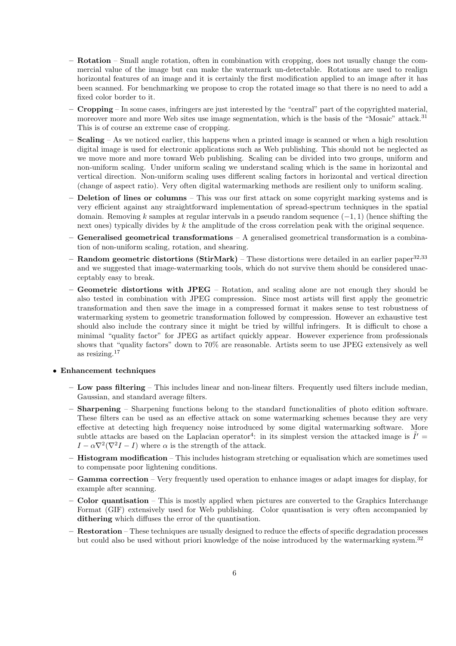- **Rotation** Small angle rotation, often in combination with cropping, does not usually change the commercial value of the image but can make the watermark un-detectable. Rotations are used to realign horizontal features of an image and it is certainly the first modification applied to an image after it has been scanned. For benchmarking we propose to crop the rotated image so that there is no need to add a fixed color border to it.
- **Cropping** In some cases, infringers are just interested by the "central" part of the copyrighted material, moreover more and more Web sites use image segmentation, which is the basis of the "Mosaic" attack.<sup>31</sup> This is of course an extreme case of cropping.
- **Scaling** As we noticed earlier, this happens when a printed image is scanned or when a high resolution digital image is used for electronic applications such as Web publishing. This should not be neglected as we move more and more toward Web publishing. Scaling can be divided into two groups, uniform and non-uniform scaling. Under uniform scaling we understand scaling which is the same in horizontal and vertical direction. Non-uniform scaling uses different scaling factors in horizontal and vertical direction (change of aspect ratio). Very often digital watermarking methods are resilient only to uniform scaling.
- **Deletion of lines or columns** This was our first attack on some copyright marking systems and is very efficient against any straightforward implementation of spread-spectrum techniques in the spatial domain. Removing k samples at regular intervals in a pseudo random sequence  $(-1, 1)$  (hence shifting the next ones) typically divides by k the amplitude of the cross correlation peak with the original sequence.
- **Generalised geometrical transformations** A generalised geometrical transformation is a combination of non-uniform scaling, rotation, and shearing.
- **Random geometric distortions (StirMark)** These distortions were detailed in an earlier paper32,33 and we suggested that image-watermarking tools, which do not survive them should be considered unacceptably easy to break.
- **Geometric distortions with JPEG** Rotation, and scaling alone are not enough they should be also tested in combination with JPEG compression. Since most artists will first apply the geometric transformation and then save the image in a compressed format it makes sense to test robustness of watermarking system to geometric transformation followed by compression. However an exhaustive test should also include the contrary since it might be tried by willful infringers. It is difficult to chose a minimal "quality factor" for JPEG as artifact quickly appear. However experience from professionals shows that "quality factors" down to 70% are reasonable. Artists seem to use JPEG extensively as well as resizing.<sup>17</sup>

## • **Enhancement techniques**

- **Low pass filtering** This includes linear and non-linear filters. Frequently used filters include median, Gaussian, and standard average filters.
- **Sharpening** Sharpening functions belong to the standard functionalities of photo edition software. These filters can be used as an effective attack on some watermarking schemes because they are very effective at detecting high frequency noise introduced by some digital watermarking software. More subtle attacks are based on the Laplacian operator<sup>4</sup>: in its simplest version the attacked image is  $\tilde{I}' =$  $I - \alpha \nabla^2 (\nabla^2 I - I)$  where  $\alpha$  is the strength of the attack.
- **Histogram modification** This includes histogram stretching or equalisation which are sometimes used to compensate poor lightening conditions.
- **Gamma correction** Very frequently used operation to enhance images or adapt images for display, for example after scanning.
- **Color quantisation** This is mostly applied when pictures are converted to the Graphics Interchange Format (GIF) extensively used for Web publishing. Color quantisation is very often accompanied by **dithering** which diffuses the error of the quantisation.
- **Restoration** These techniques are usually designed to reduce the effects of specific degradation processes but could also be used without priori knowledge of the noise introduced by the watermarking system.<sup>32</sup>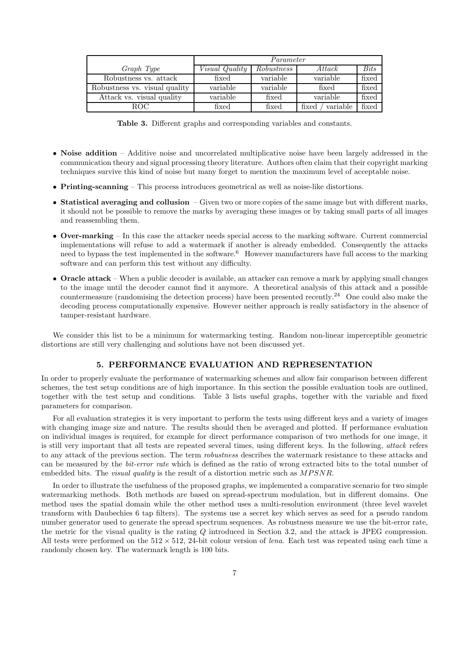|                               | Parameter      |            |                   |             |  |
|-------------------------------|----------------|------------|-------------------|-------------|--|
| Graph Type                    | Visual Quality | Robustness | Attack            | $\it{Bits}$ |  |
| Robustness vs. attack         | fixed          | variable   | variable          | fixed       |  |
| Robustness vs. visual quality | variable       | variable   | fixed             | fixed       |  |
| Attack vs. visual quality     | variable       | fixed      | variable          | fixed       |  |
| <b>ROC</b>                    | fixed          | fixed      | variable<br>fixed | fixed       |  |

**Table 3.** Different graphs and corresponding variables and constants.

- **Noise addition** Additive noise and uncorrelated multiplicative noise have been largely addressed in the communication theory and signal processing theory literature. Authors often claim that their copyright marking techniques survive this kind of noise but many forget to mention the maximum level of acceptable noise.
- **Printing-scanning** This process introduces geometrical as well as noise-like distortions.
- **Statistical averaging and collusion** Given two or more copies of the same image but with different marks, it should not be possible to remove the marks by averaging these images or by taking small parts of all images and reassembling them.
- **Over-marking** In this case the attacker needs special access to the marking software. Current commercial implementations will refuse to add a watermark if another is already embedded. Consequently the attacks need to bypass the test implemented in the software.<sup>6</sup> However manufacturers have full access to the marking software and can perform this test without any difficulty.
- **Oracle attack** When a public decoder is available, an attacker can remove a mark by applying small changes to the image until the decoder cannot find it anymore. A theoretical analysis of this attack and a possible countermeasure (randomising the detection process) have been presented recently.<sup>24</sup> One could also make the decoding process computationally expensive. However neither approach is really satisfactory in the absence of tamper-resistant hardware.

We consider this list to be a minimum for watermarking testing. Random non-linear imperceptible geometric distortions are still very challenging and solutions have not been discussed yet.

# **5. PERFORMANCE EVALUATION AND REPRESENTATION**

In order to properly evaluate the performance of watermarking schemes and allow fair comparison between different schemes, the test setup conditions are of high importance. In this section the possible evaluation tools are outlined, together with the test setup and conditions. Table 3 lists useful graphs, together with the variable and fixed parameters for comparison.

For all evaluation strategies it is very important to perform the tests using different keys and a variety of images with changing image size and nature. The results should then be averaged and plotted. If performance evaluation on individual images is required, for example for direct performance comparison of two methods for one image, it is still very important that all tests are repeated several times, using different keys. In the following, *attack* refers to any attack of the previous section. The term *robustness* describes the watermark resistance to these attacks and can be measured by the *bit-error rate* which is defined as the ratio of wrong extracted bits to the total number of embedded bits. The *visual quality* is the result of a distortion metric such as MPSNR.

In order to illustrate the usefulness of the proposed graphs, we implemented a comparative scenario for two simple watermarking methods. Both methods are based on spread-spectrum modulation, but in different domains. One method uses the spatial domain while the other method uses a multi-resolution environment (three level wavelet transform with Daubechies 6 tap filters). The systems use a secret key which serves as seed for a pseudo random number generator used to generate the spread spectrum sequences. As robustness measure we use the bit-error rate, the metric for the visual quality is the rating Q introduced in Section 3.2, and the attack is JPEG compression. All tests were performed on the  $512 \times 512$ , 24-bit colour version of *lena*. Each test was repeated using each time a randomly chosen key. The watermark length is 100 bits.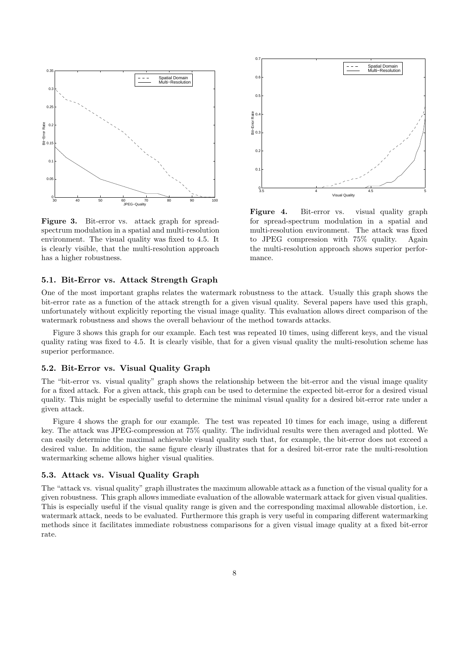

**Figure 3.** Bit-error vs. attack graph for spreadspectrum modulation in a spatial and multi-resolution environment. The visual quality was fixed to 4.5. It is clearly visible, that the multi-resolution approach has a higher robustness.



**Figure 4.** Bit-error vs. visual quality graph for spread-spectrum modulation in a spatial and multi-resolution environment. The attack was fixed to JPEG compression with 75% quality. Again the multi-resolution approach shows superior performance.

#### **5.1. Bit-Error vs. Attack Strength Graph**

One of the most important graphs relates the watermark robustness to the attack. Usually this graph shows the bit-error rate as a function of the attack strength for a given visual quality. Several papers have used this graph, unfortunately without explicitly reporting the visual image quality. This evaluation allows direct comparison of the watermark robustness and shows the overall behaviour of the method towards attacks.

Figure 3 shows this graph for our example. Each test was repeated 10 times, using different keys, and the visual quality rating was fixed to 4.5. It is clearly visible, that for a given visual quality the multi-resolution scheme has superior performance.

# **5.2. Bit-Error vs. Visual Quality Graph**

The "bit-error vs. visual quality" graph shows the relationship between the bit-error and the visual image quality for a fixed attack. For a given attack, this graph can be used to determine the expected bit-error for a desired visual quality. This might be especially useful to determine the minimal visual quality for a desired bit-error rate under a given attack.

Figure 4 shows the graph for our example. The test was repeated 10 times for each image, using a different key. The attack was JPEG-compression at 75% quality. The individual results were then averaged and plotted. We can easily determine the maximal achievable visual quality such that, for example, the bit-error does not exceed a desired value. In addition, the same figure clearly illustrates that for a desired bit-error rate the multi-resolution watermarking scheme allows higher visual qualities.

#### **5.3. Attack vs. Visual Quality Graph**

The "attack vs. visual quality" graph illustrates the maximum allowable attack as a function of the visual quality for a given robustness. This graph allows immediate evaluation of the allowable watermark attack for given visual qualities. This is especially useful if the visual quality range is given and the corresponding maximal allowable distortion, i.e. watermark attack, needs to be evaluated. Furthermore this graph is very useful in comparing different watermarking methods since it facilitates immediate robustness comparisons for a given visual image quality at a fixed bit-error rate.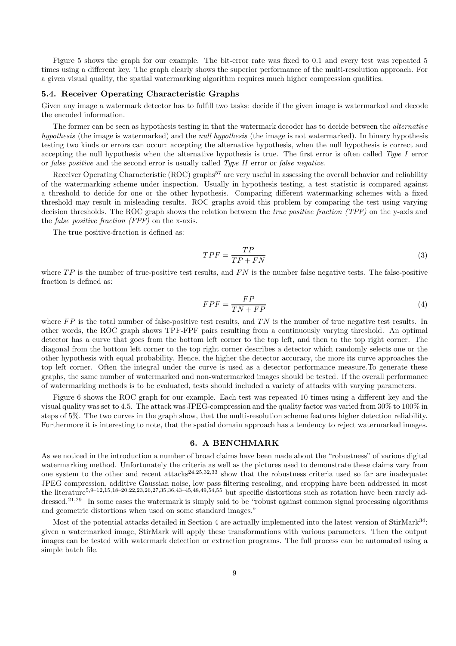Figure 5 shows the graph for our example. The bit-error rate was fixed to 0.1 and every test was repeated 5 times using a different key. The graph clearly shows the superior performance of the multi-resolution approach. For a given visual quality, the spatial watermarking algorithm requires much higher compression qualities.

#### **5.4. Receiver Operating Characteristic Graphs**

Given any image a watermark detector has to fulfill two tasks: decide if the given image is watermarked and decode the encoded information.

The former can be seen as hypothesis testing in that the watermark decoder has to decide between the *alternative hypothesis* (the image is watermarked) and the *null hypothesis* (the image is not watermarked). In binary hypothesis testing two kinds or errors can occur: accepting the alternative hypothesis, when the null hypothesis is correct and accepting the null hypothesis when the alternative hypothesis is true. The first error is often called *Type I* error or *false positive* and the second error is usually called *Type II* error or *false negative*.

Receiver Operating Characteristic (ROC) graphs<sup>57</sup> are very useful in assessing the overall behavior and reliability of the watermarking scheme under inspection. Usually in hypothesis testing, a test statistic is compared against a threshold to decide for one or the other hypothesis. Comparing different watermarking schemes with a fixed threshold may result in misleading results. ROC graphs avoid this problem by comparing the test using varying decision thresholds. The ROC graph shows the relation between the *true positive fraction (TPF)* on the y-axis and the *false positive fraction (FPF)* on the x-axis.

The true positive-fraction is defined as:

$$
TPF = \frac{TP}{TP + FN} \tag{3}
$$

where  $TP$  is the number of true-positive test results, and  $FN$  is the number false negative tests. The false-positive fraction is defined as:

$$
FPF = \frac{FP}{TN + FP}
$$
\n<sup>(4)</sup>

where  $FP$  is the total number of false-positive test results, and TN is the number of true negative test results. In other words, the ROC graph shows TPF-FPF pairs resulting from a continuously varying threshold. An optimal detector has a curve that goes from the bottom left corner to the top left, and then to the top right corner. The diagonal from the bottom left corner to the top right corner describes a detector which randomly selects one or the other hypothesis with equal probability. Hence, the higher the detector accuracy, the more its curve approaches the top left corner. Often the integral under the curve is used as a detector performance measure.To generate these graphs, the same number of watermarked and non-watermarked images should be tested. If the overall performance of watermarking methods is to be evaluated, tests should included a variety of attacks with varying parameters.

Figure 6 shows the ROC graph for our example. Each test was repeated 10 times using a different key and the visual quality was set to 4.5. The attack was JPEG-compression and the quality factor was varied from 30% to 100% in steps of 5%. The two curves in the graph show, that the multi-resolution scheme features higher detection reliability. Furthermore it is interesting to note, that the spatial domain approach has a tendency to reject watermarked images.

#### **6. A BENCHMARK**

As we noticed in the introduction a number of broad claims have been made about the "robustness" of various digital watermarking method. Unfortunately the criteria as well as the pictures used to demonstrate these claims vary from one system to the other and recent attacks<sup>24,25,32,33</sup> show that the robustness criteria used so far are inadequate: JPEG compression, additive Gaussian noise, low pass filtering rescaling, and cropping have been addressed in most the literature5,9–12,15,18–20,22,23,26,27,35,36,43–45,48,49,54,55 but specific distortions such as rotation have been rarely addressed.<sup>21,29</sup> In some cases the watermark is simply said to be "robust against common signal processing algorithms and geometric distortions when used on some standard images."

Most of the potential attacks detailed in Section 4 are actually implemented into the latest version of StirMark<sup>34</sup>: given a watermarked image, StirMark will apply these transformations with various parameters. Then the output images can be tested with watermark detection or extraction programs. The full process can be automated using a simple batch file.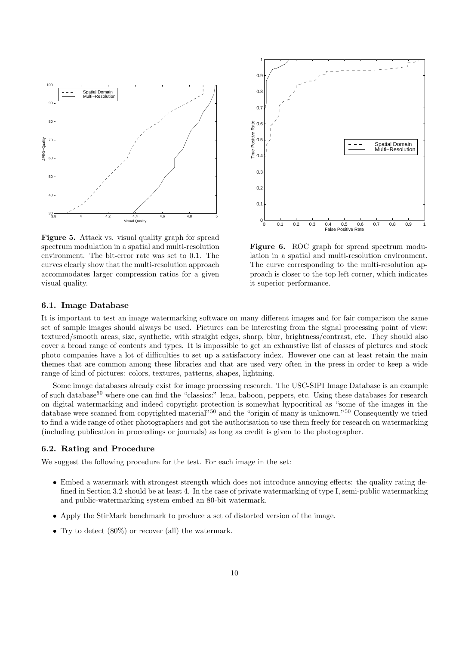

<sup>0</sup> 0.1 0.2 0.3 0.4 0.5 0.6 0.7 0.8 0.9 <sup>1</sup> <sup>0</sup>  $0.1$  $0.2$  $0.3$  $\frac{9}{5}$  0.4 0.5 0.6  $0.7$ 0.8  $0.9$ 1 False Positive Rate True Positive Rate Spatial Domain Multi−Resolution

**Figure 5.** Attack vs. visual quality graph for spread spectrum modulation in a spatial and multi-resolution environment. The bit-error rate was set to 0.1. The curves clearly show that the multi-resolution approach accommodates larger compression ratios for a given visual quality.

**Figure 6.** ROC graph for spread spectrum modulation in a spatial and multi-resolution environment. The curve corresponding to the multi-resolution approach is closer to the top left corner, which indicates it superior performance.

## **6.1. Image Database**

It is important to test an image watermarking software on many different images and for fair comparison the same set of sample images should always be used. Pictures can be interesting from the signal processing point of view: textured/smooth areas, size, synthetic, with straight edges, sharp, blur, brightness/contrast, etc. They should also cover a broad range of contents and types. It is impossible to get an exhaustive list of classes of pictures and stock photo companies have a lot of difficulties to set up a satisfactory index. However one can at least retain the main themes that are common among these libraries and that are used very often in the press in order to keep a wide range of kind of pictures: colors, textures, patterns, shapes, lightning.

Some image databases already exist for image processing research. The USC-SIPI Image Database is an example of such database<sup>50</sup> where one can find the "classics:" lena, baboon, peppers, etc. Using these databases for research on digital watermarking and indeed copyright protection is somewhat hypocritical as "some of the images in the database were scanned from copyrighted material"<sup>50</sup> and the "origin of many is unknown."<sup>50</sup> Consequently we tried to find a wide range of other photographers and got the authorisation to use them freely for research on watermarking (including publication in proceedings or journals) as long as credit is given to the photographer.

## **6.2. Rating and Procedure**

We suggest the following procedure for the test. For each image in the set:

- Embed a watermark with strongest strength which does not introduce annoying effects: the quality rating defined in Section 3.2 should be at least 4. In the case of private watermarking of type I, semi-public watermarking and public-watermarking system embed an 80-bit watermark.
- Apply the StirMark benchmark to produce a set of distorted version of the image.
- Try to detect  $(80\%)$  or recover (all) the watermark.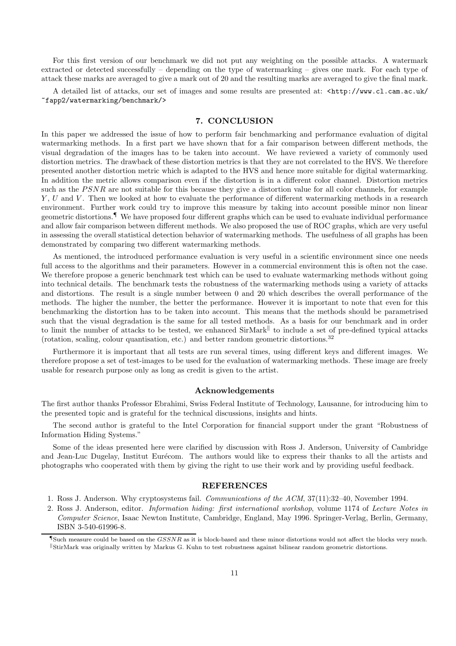For this first version of our benchmark we did not put any weighting on the possible attacks. A watermark extracted or detected successfully – depending on the type of watermarking – gives one mark. For each type of attack these marks are averaged to give a mark out of 20 and the resulting marks are averaged to give the final mark.

A detailed list of attacks, our set of images and some results are presented at: <http://www.cl.cam.ac.uk/ ~fapp2/watermarking/benchmark/>

# **7. CONCLUSION**

In this paper we addressed the issue of how to perform fair benchmarking and performance evaluation of digital watermarking methods. In a first part we have shown that for a fair comparison between different methods, the visual degradation of the images has to be taken into account. We have reviewed a variety of commonly used distortion metrics. The drawback of these distortion metrics is that they are not correlated to the HVS. We therefore presented another distortion metric which is adapted to the HVS and hence more suitable for digital watermarking. In addition the metric allows comparison even if the distortion is in a different color channel. Distortion metrics such as the PSNR are not suitable for this because they give a distortion value for all color channels, for example Y, U and V. Then we looked at how to evaluate the performance of different watermarking methods in a research environment. Further work could try to improve this measure by taking into account possible minor non linear geometric distortions.¶ We have proposed four different graphs which can be used to evaluate individual performance and allow fair comparison between different methods. We also proposed the use of ROC graphs, which are very useful in assessing the overall statistical detection behavior of watermarking methods. The usefulness of all graphs has been demonstrated by comparing two different watermarking methods.

As mentioned, the introduced performance evaluation is very useful in a scientific environment since one needs full access to the algorithms and their parameters. However in a commercial environment this is often not the case. We therefore propose a generic benchmark test which can be used to evaluate watermarking methods without going into technical details. The benchmark tests the robustness of the watermarking methods using a variety of attacks and distortions. The result is a single number between 0 and 20 which describes the overall performance of the methods. The higher the number, the better the performance. However it is important to note that even for this benchmarking the distortion has to be taken into account. This means that the methods should be parametrised such that the visual degradation is the same for all tested methods. As a basis for our benchmark and in order to limit the number of attacks to be tested, we enhanced  $\text{Si}^{\text{Mark}}$  to include a set of pre-defined typical attacks (rotation, scaling, colour quantisation, etc.) and better random geometric distortions.<sup>32</sup>

Furthermore it is important that all tests are run several times, using different keys and different images. We therefore propose a set of test-images to be used for the evaluation of watermarking methods. These image are freely usable for research purpose only as long as credit is given to the artist.

#### **Acknowledgements**

The first author thanks Professor Ebrahimi, Swiss Federal Institute of Technology, Lausanne, for introducing him to the presented topic and is grateful for the technical discussions, insights and hints.

The second author is grateful to the Intel Corporation for financial support under the grant "Robustness of Information Hiding Systems."

Some of the ideas presented here were clarified by discussion with Ross J. Anderson, University of Cambridge and Jean-Luc Dugelay, Institut Eurécom. The authors would like to express their thanks to all the artists and photographs who cooperated with them by giving the right to use their work and by providing useful feedback.

#### **REFERENCES**

<sup>1.</sup> Ross J. Anderson. Why cryptosystems fail. *Communications of the ACM*, 37(11):32–40, November 1994.

<sup>2.</sup> Ross J. Anderson, editor. *Information hiding: first international workshop*, volume 1174 of *Lecture Notes in Computer Science*, Isaac Newton Institute, Cambridge, England, May 1996. Springer-Verlag, Berlin, Germany, ISBN 3-540-61996-8.

**ISuch measure could be based on the GSSNR** as it is block-based and these minor distortions would not affect the blocks very much.  $\mathbb{R}$ StirMark was originally written by Markus G. Kuhn to test robustness against bilinear random geometric distortions.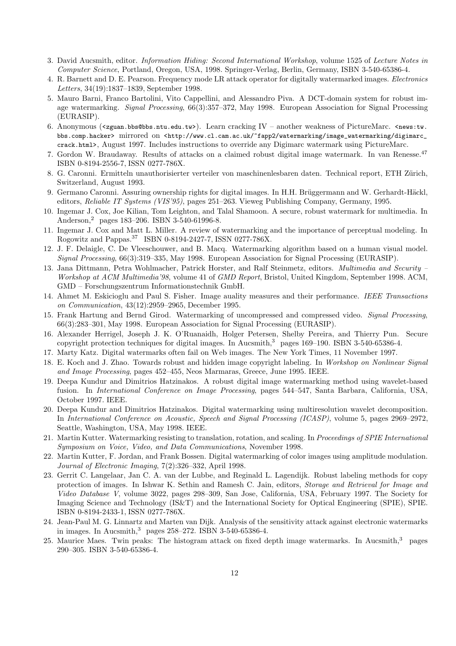- 3. David Aucsmith, editor. *Information Hiding: Second International Workshop*, volume 1525 of *Lecture Notes in Computer Science*, Portland, Oregon, USA, 1998. Springer-Verlag, Berlin, Germany, ISBN 3-540-65386-4.
- 4. R. Barnett and D. E. Pearson. Frequency mode LR attack operator for digitally watermarked images. *Electronics Letters*, 34(19):1837–1839, September 1998.
- 5. Mauro Barni, Franco Bartolini, Vito Cappellini, and Alessandro Piva. A DCT-domain system for robust image watermarking. *Signal Processing*, 66(3):357–372, May 1998. European Association for Signal Processing (EURASIP).
- 6. Anonymous (<zguan.bbs@bbs.ntu.edu.tw>). Learn cracking IV another weakness of PictureMarc. <news:tw. bbs.comp.hacker> mirrored on <http://www.cl.cam.ac.uk/~fapp2/watermarking/image\_watermarking/digimarc\_ crack.html>, August 1997. Includes instructions to override any Digimarc watermark using PictureMarc.
- 7. Gordon W. Braudaway. Results of attacks on a claimed robust digital image watermark. In van Renesse.<sup>47</sup> ISBN 0-8194-2556-7, ISSN 0277-786X.
- 8. G. Caronni. Ermitteln unauthorisierter verteiler von maschinenlesbaren daten. Technical report, ETH Zürich, Switzerland, August 1993.
- 9. Germano Caronni. Assuring ownership rights for digital images. In H.H. Brüggermann and W. Gerhardt-Häckl, editors, *Reliable IT Systems (VIS'95)*, pages 251–263. Vieweg Publishing Company, Germany, 1995.
- 10. Ingemar J. Cox, Joe Kilian, Tom Leighton, and Talal Shamoon. A secure, robust watermark for multimedia. In Anderson,<sup>2</sup> pages 183-206. ISBN 3-540-61996-8.
- 11. Ingemar J. Cox and Matt L. Miller. A review of watermarking and the importance of perceptual modeling. In Rogowitz and Pappas.<sup>37</sup> ISBN 0-8194-2427-7, ISSN 0277-786X.
- 12. J. F. Delaigle, C. De Vleeschouwer, and B. Macq. Watermarking algorithm based on a human visual model. *Signal Processing*, 66(3):319–335, May 1998. European Association for Signal Processing (EURASIP).
- 13. Jana Dittmann, Petra Wohlmacher, Patrick Horster, and Ralf Steinmetz, editors. *Multimedia and Security – Workshop at ACM Multimedia'98*, volume 41 of *GMD Report*, Bristol, United Kingdom, September 1998. ACM, GMD – Forschungszentrum Informationstechnik GmbH.
- 14. Ahmet M. Eskicioglu and Paul S. Fisher. Image auality measures and their performance. *IEEE Transactions on Communication*, 43(12):2959–2965, December 1995.
- 15. Frank Hartung and Bernd Girod. Watermarking of uncompressed and compressed video. *Signal Processing*, 66(3):283–301, May 1998. European Association for Signal Processing (EURASIP).
- 16. Alexander Herrigel, Joseph J. K. O'Ruanaidh, Holger Petersen, Shelby Pereira, and Thierry Pun. Secure copyright protection techniques for digital images. In Aucsmith,<sup>3</sup> pages 169-190. ISBN 3-540-65386-4.
- 17. Marty Katz. Digital watermarks often fail on Web images. The New York Times, 11 November 1997.
- 18. E. Koch and J. Zhao. Towards robust and hidden image copyright labeling. In *Workshop on Nonlinear Signal and Image Processing*, pages 452–455, Neos Marmaras, Greece, June 1995. IEEE.
- 19. Deepa Kundur and Dimitrios Hatzinakos. A robust digital image watermarking method using wavelet-based fusion. In *International Conference on Image Processing*, pages 544–547, Santa Barbara, California, USA, October 1997. IEEE.
- 20. Deepa Kundur and Dimitrios Hatzinakos. Digital watermarking using multiresolution wavelet decomposition. In *International Conference on Acoustic, Speech and Signal Processing (ICASP)*, volume 5, pages 2969–2972, Seattle, Washington, USA, May 1998. IEEE.
- 21. Martin Kutter. Watermarking resisting to translation, rotation, and scaling. In *Proceedings of SPIE International Symposium on Voice, Video, and Data Communications*, November 1998.
- 22. Martin Kutter, F. Jordan, and Frank Bossen. Digital watermarking of color images using amplitude modulation. *Journal of Electronic Imaging*, 7(2):326–332, April 1998.
- 23. Gerrit C. Langelaar, Jan C. A. van der Lubbe, and Reginald L. Lagendijk. Robust labeling methods for copy protection of images. In Ishwar K. Sethin and Ramesh C. Jain, editors, *Storage and Retrieval for Image and Video Database V*, volume 3022, pages 298–309, San Jose, California, USA, February 1997. The Society for Imaging Science and Technology (IS&T) and the International Society for Optical Engineering (SPIE), SPIE. ISBN 0-8194-2433-1, ISSN 0277-786X.
- 24. Jean-Paul M. G. Linnartz and Marten van Dijk. Analysis of the sensitivity attack against electronic watermarks in images. In Aucsmith,<sup>3</sup> pages  $258-272$ . ISBN 3-540-65386-4.
- 25. Maurice Maes. Twin peaks: The histogram attack on fixed depth image watermarks. In Aucsmith,<sup>3</sup> pages 290–305. ISBN 3-540-65386-4.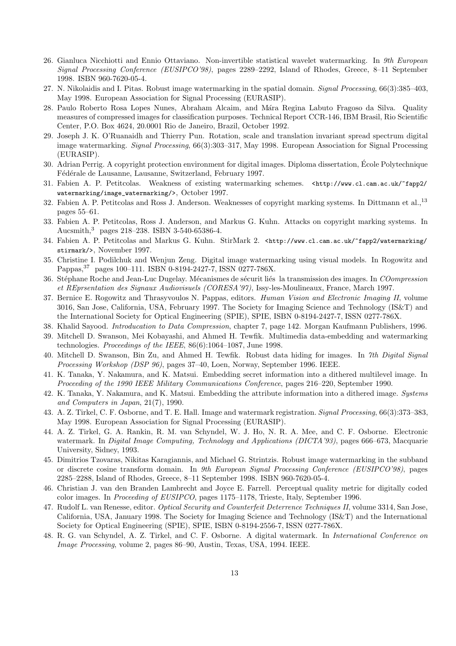- 26. Gianluca Nicchiotti and Ennio Ottaviano. Non-invertible statistical wavelet watermarking. In *9th European Signal Processing Conference (EUSIPCO'98)*, pages 2289–2292, Island of Rhodes, Greece, 8–11 September 1998. ISBN 960-7620-05-4.
- 27. N. Nikolaidis and I. Pitas. Robust image watermarking in the spatial domain. *Signal Processing*, 66(3):385–403, May 1998. European Association for Signal Processing (EURASIP).
- 28. Paulo Roberto Rosa Lopes Nunes, Abraham Alcaim, and Mára Regina Labuto Fragoso da Silva. Quality measures of compressed images for classification purposes. Technical Report CCR-146, IBM Brasil, Rio Scientific Center, P.O. Box 4624, 20.0001 Rio de Janeiro, Brazil, October 1992.
- 29. Joseph J. K. O'Ruanaidh and Thierry Pun. Rotation, scale and translation invariant spread spectrum digital image watermarking. *Signal Processing*, 66(3):303–317, May 1998. European Association for Signal Processing (EURASIP).
- 30. Adrian Perrig. A copyright protection environment for digital images. Diploma dissertation, Ecole Polytechnique ´ Fédérale de Lausanne, Lausanne, Switzerland, February 1997.
- 31. Fabien A. P. Petitcolas. Weakness of existing watermarking schemes. <http://www.cl.cam.ac.uk/~fapp2/ watermarking/image\_watermarking/>, October 1997.
- 32. Fabien A. P. Petitcolas and Ross J. Anderson. Weaknesses of copyright marking systems. In Dittmann et al.,<sup>13</sup> pages 55–61.
- 33. Fabien A. P. Petitcolas, Ross J. Anderson, and Markus G. Kuhn. Attacks on copyright marking systems. In Aucsmith,<sup>3</sup> pages 218–238. ISBN 3-540-65386-4.
- 34. Fabien A. P. Petitcolas and Markus G. Kuhn. StirMark 2. <http://www.cl.cam.ac.uk/~fapp2/watermarking/ stirmark/>, November 1997.
- 35. Christine I. Podilchuk and Wenjun Zeng. Digital image watermarking using visual models. In Rogowitz and Pappas, <sup>37</sup> pages 100–111. ISBN 0-8194-2427-7, ISSN 0277-786X.
- 36. St´ephane Roche and Jean-Luc Dugelay. M´ecanismes de s´ecurit li´es la transmission des images. In *COompression et REprsentation des Signaux Audiovisuels (CORESA'97)*, Issy-les-Moulineaux, France, March 1997.
- 37. Bernice E. Rogowitz and Thrasyvoulos N. Pappas, editors. *Human Vision and Electronic Imaging II*, volume 3016, San Jose, California, USA, February 1997. The Society for Imaging Science and Technology (IS&T) and the International Society for Optical Engineering (SPIE), SPIE, ISBN 0-8194-2427-7, ISSN 0277-786X.
- 38. Khalid Sayood. *Introducation to Data Compression*, chapter 7, page 142. Morgan Kaufmann Publishers, 1996.
- 39. Mitchell D. Swanson, Mei Kobayashi, and Ahmed H. Tewfik. Multimedia data-embedding and watermarking technologies. *Proceedings of the IEEE*, 86(6):1064–1087, June 1998.
- 40. Mitchell D. Swanson, Bin Zu, and Ahmed H. Tewfik. Robust data hiding for images. In *7th Digital Signal Processing Workshop (DSP 96)*, pages 37–40, Loen, Norway, September 1996. IEEE.
- 41. K. Tanaka, Y. Nakamura, and K. Matsui. Embedding secret information into a dithered multilevel image. In *Proceeding of the 1990 IEEE Military Communications Conference*, pages 216–220, September 1990.
- 42. K. Tanaka, Y. Nakamura, and K. Matsui. Embedding the attribute information into a dithered image. *Systems and Computers in Japan*, 21(7), 1990.
- 43. A. Z. Tirkel, C. F. Osborne, and T. E. Hall. Image and watermark registration. *Signal Processing*, 66(3):373–383, May 1998. European Association for Signal Processing (EURASIP).
- 44. A. Z. Tirkel, G. A. Rankin, R. M. van Schyndel, W. J. Ho, N. R. A. Mee, and C. F. Osborne. Electronic watermark. In *Digital Image Computing, Technology and Applications (DICTA'93)*, pages 666–673, Macquarie University, Sidney, 1993.
- 45. Dimitrios Tzovaras, Nikitas Karagiannis, and Michael G. Strintzis. Robust image watermarking in the subband or discrete cosine transform domain. In *9th European Signal Processing Conference (EUSIPCO'98)*, pages 2285–2288, Island of Rhodes, Greece, 8–11 September 1998. ISBN 960-7620-05-4.
- 46. Christian J. van den Branden Lambrecht and Joyce E. Farrell. Perceptual quality metric for digitally coded color images. In *Proceeding of EUSIPCO*, pages 1175–1178, Trieste, Italy, September 1996.
- 47. Rudolf L. van Renesse, editor. *Optical Security and Counterfeit Deterrence Techniques II*, volume 3314, San Jose, California, USA, January 1998. The Society for Imaging Science and Technology (IS&T) and the International Society for Optical Engineering (SPIE), SPIE, ISBN 0-8194-2556-7, ISSN 0277-786X.
- 48. R. G. van Schyndel, A. Z. Tirkel, and C. F. Osborne. A digital watermark. In *International Conference on Image Processing*, volume 2, pages 86–90, Austin, Texas, USA, 1994. IEEE.